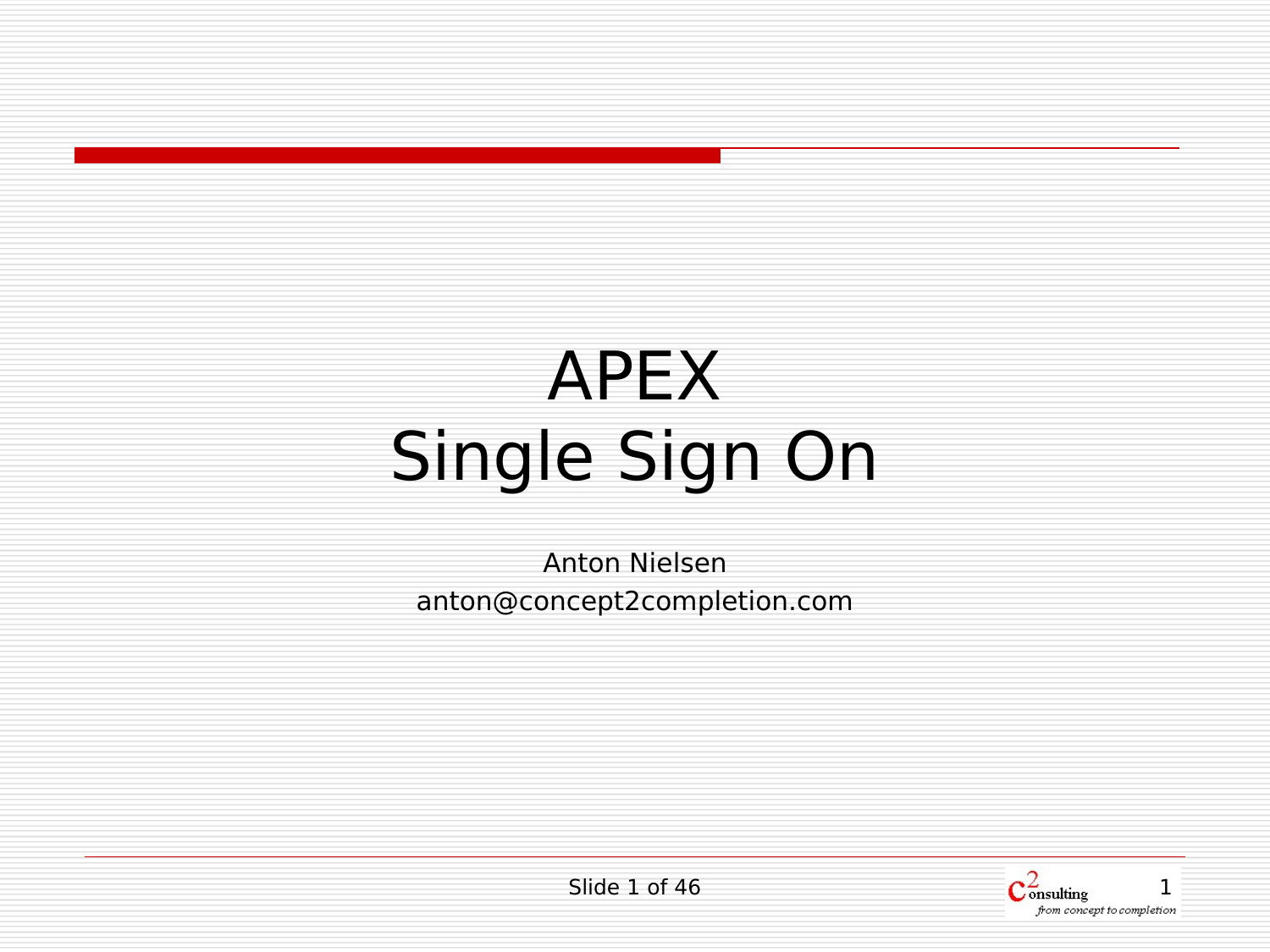# APEX Single Sign On

Anton Nielsen anton@concept2completion.com

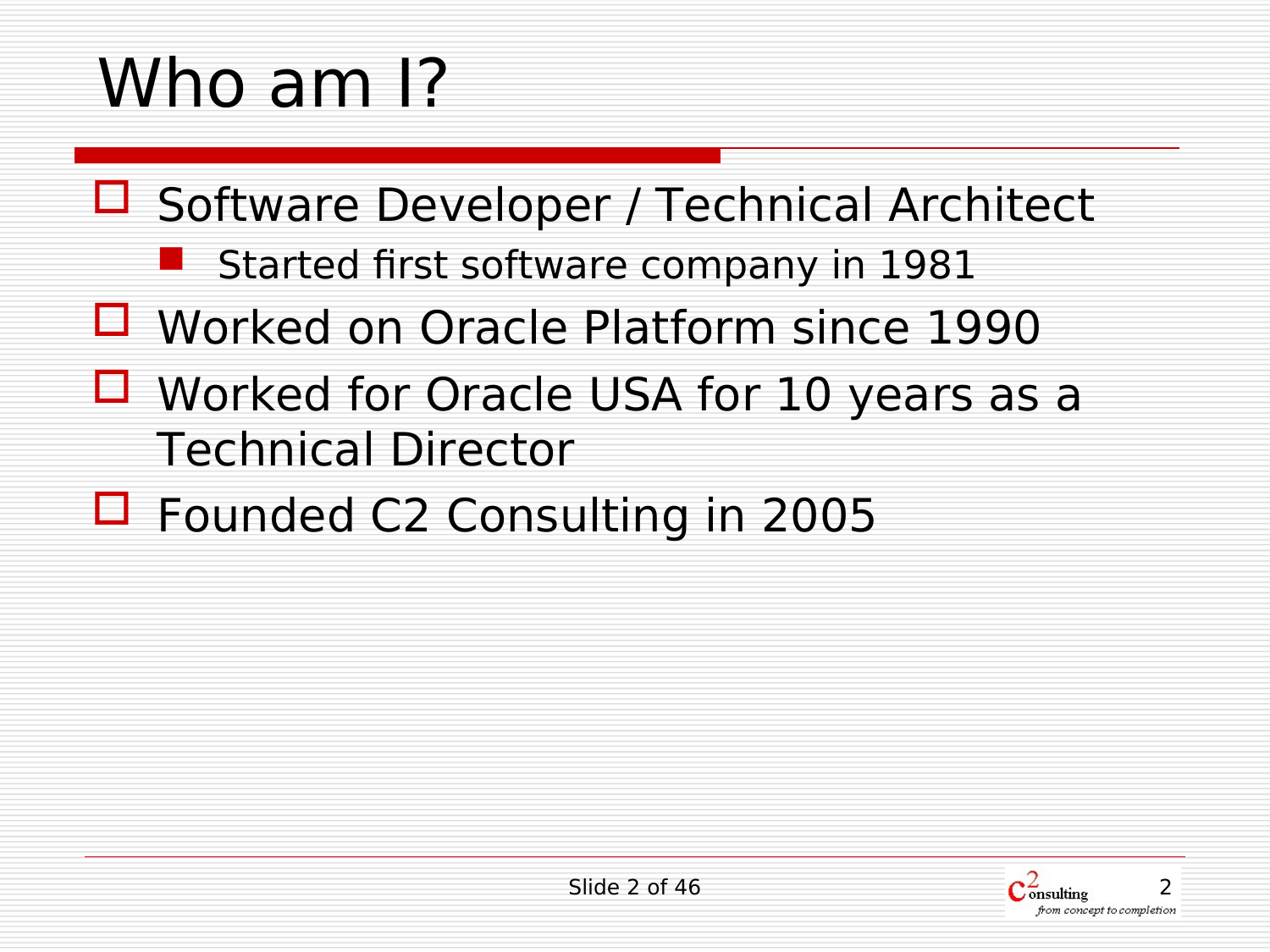## Who am I?

- □ Software Developer / Technical Architect
	- Started first software company in 1981
- Worked on Oracle Platform since 1990
- Worked for Oracle USA for 10 years as a Technical Director
- □ Founded C2 Consulting in 2005

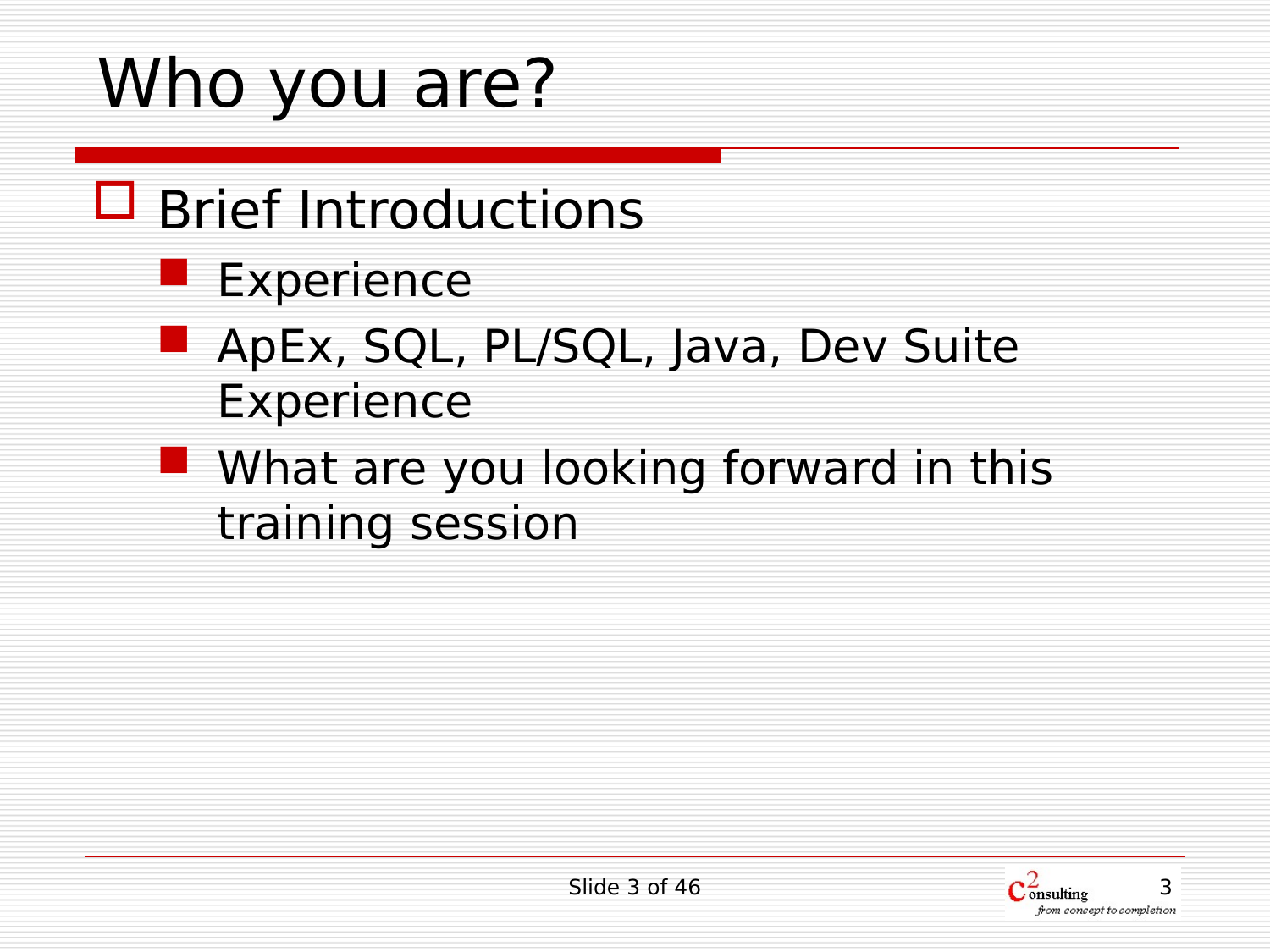## Who you are?

#### □ Brief Introductions

- Experience
- ApEx, SQL, PL/SQL, Java, Dev Suite Experience
- **Notable 19 What are you looking forward in this** training session

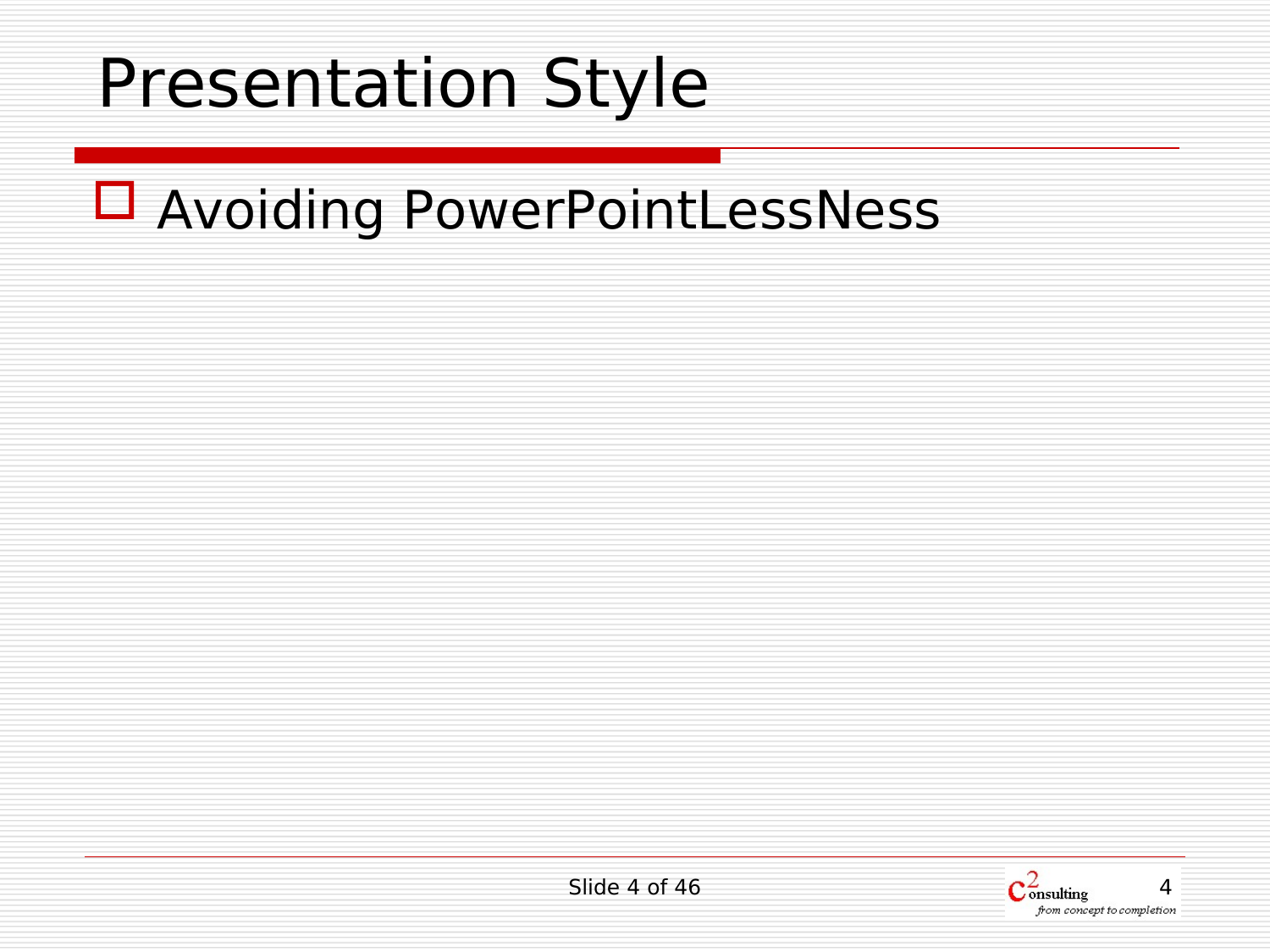#### Presentation Style

#### □ Avoiding PowerPointLessNess

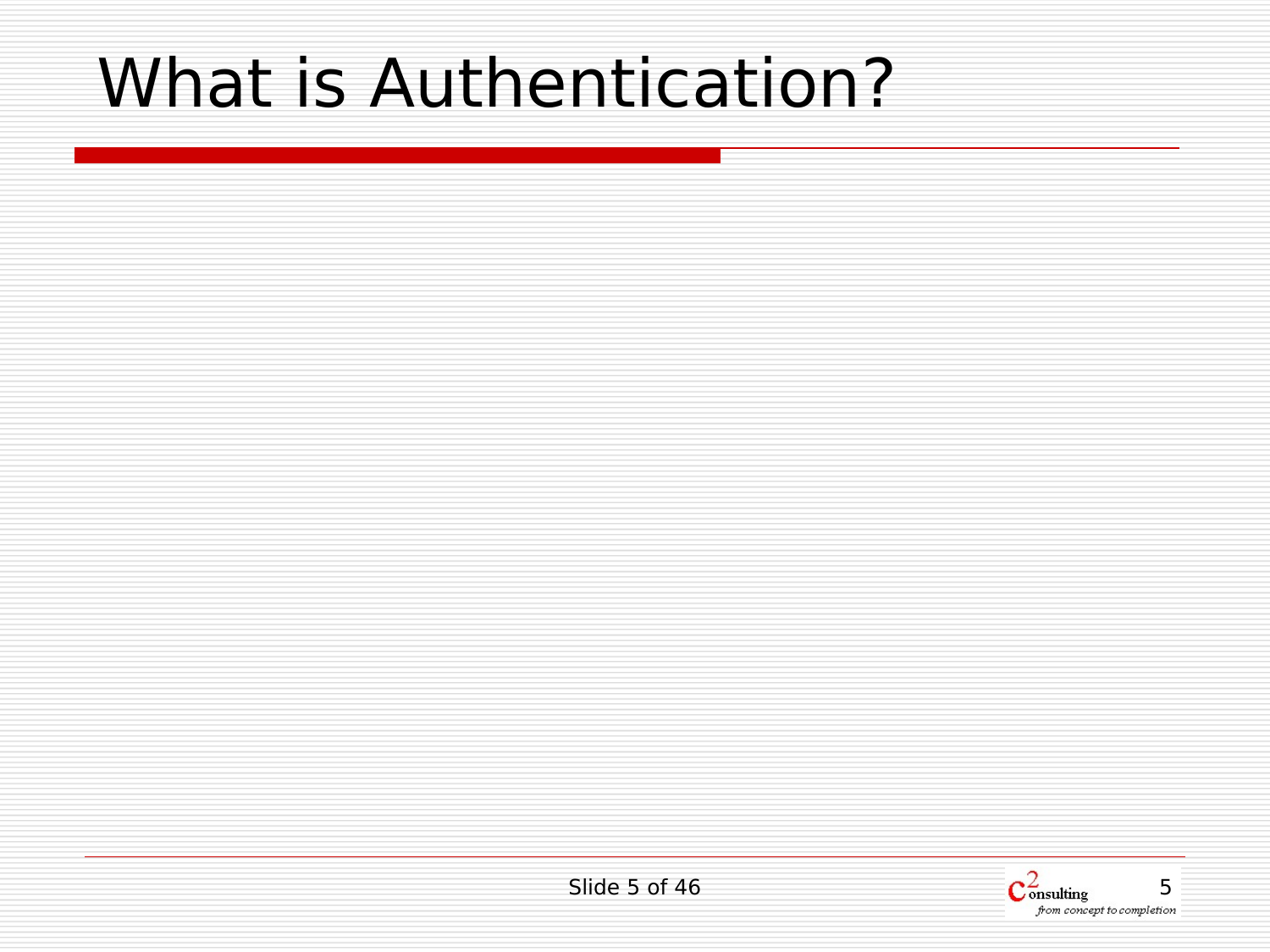### What is Authentication?

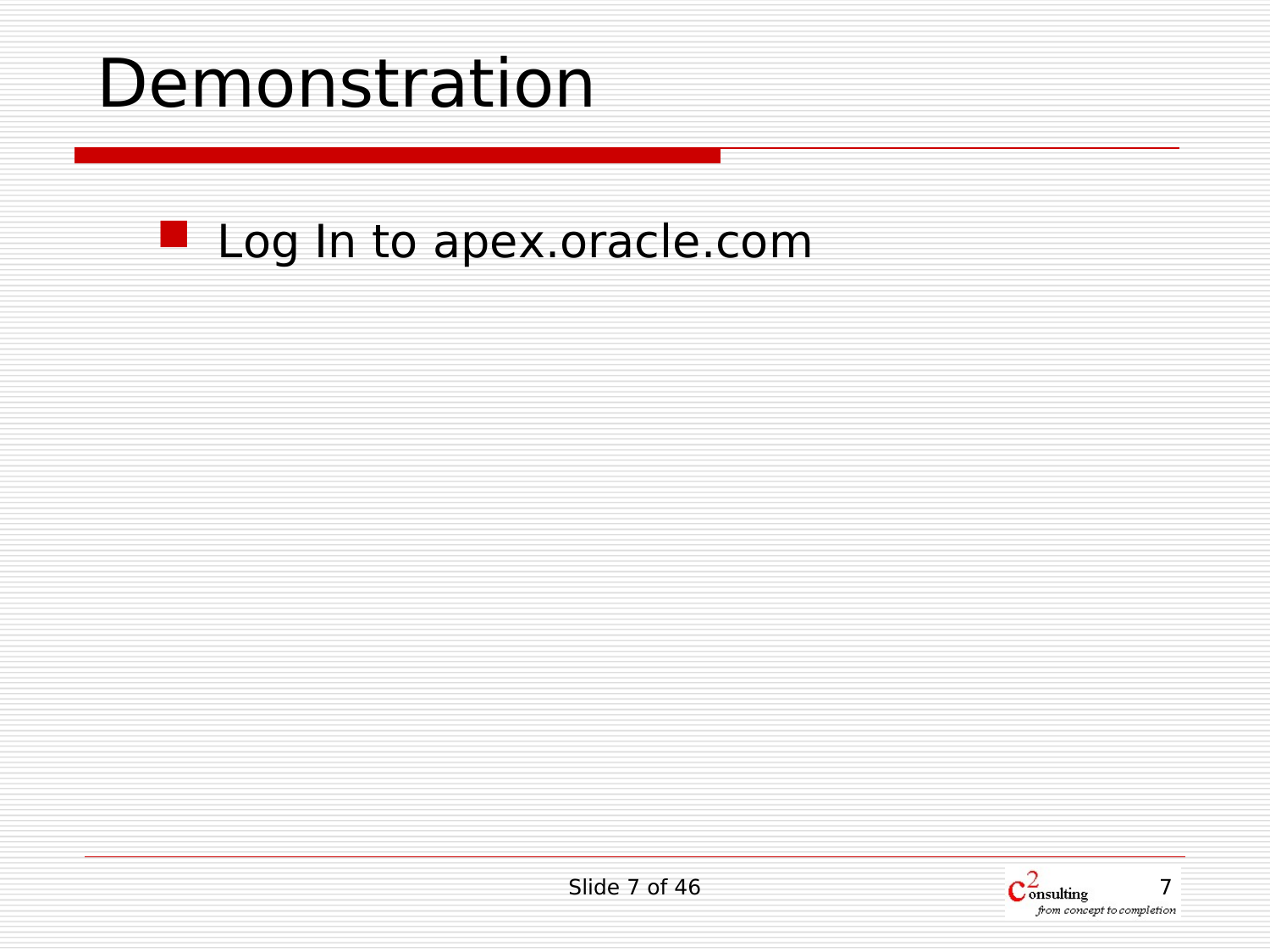#### Demonstration

#### Log In to apex.oracle.com

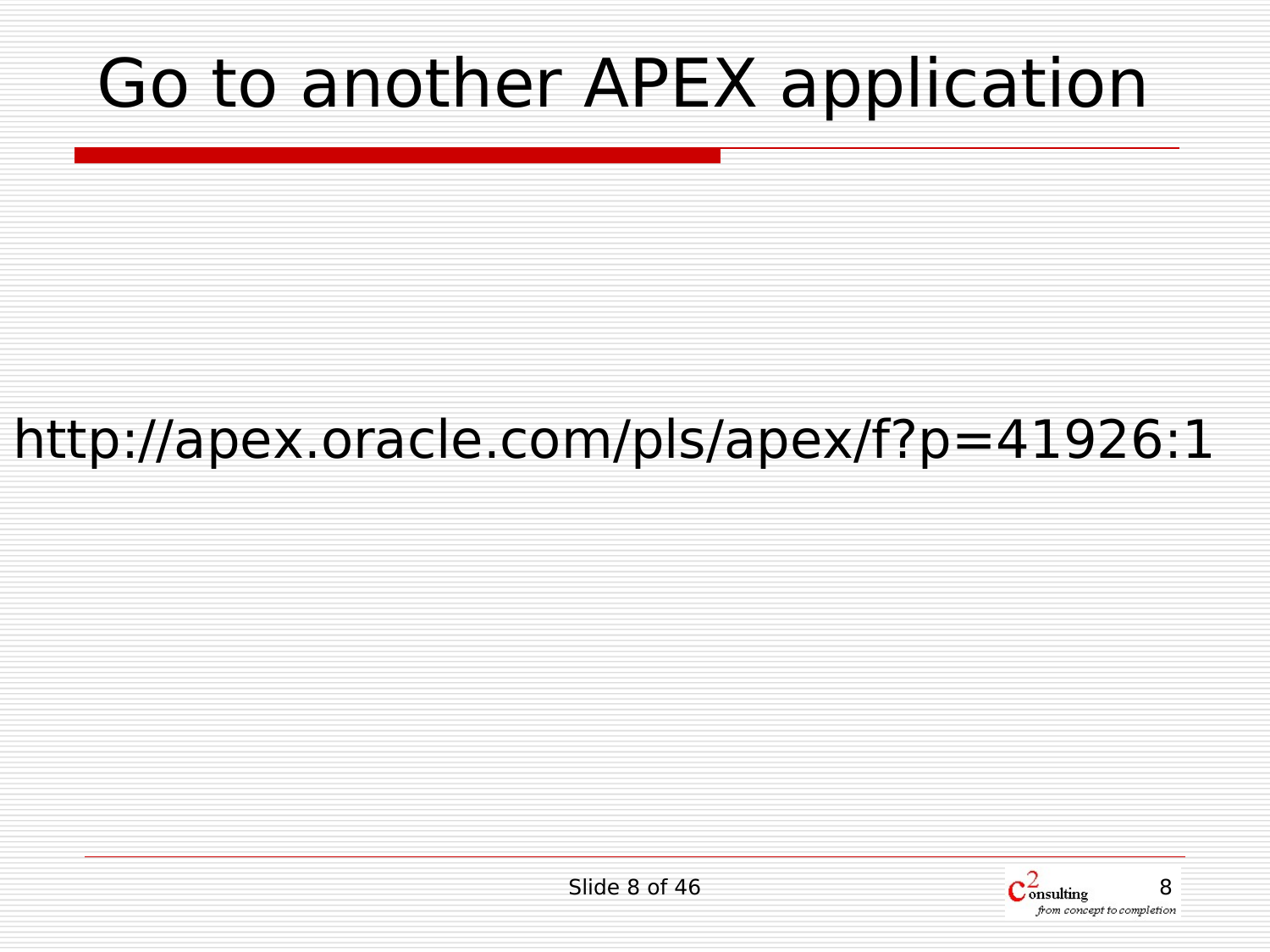### Go to another APEX application

#### http://apex.oracle.com/pls/apex/f?p=41926:1

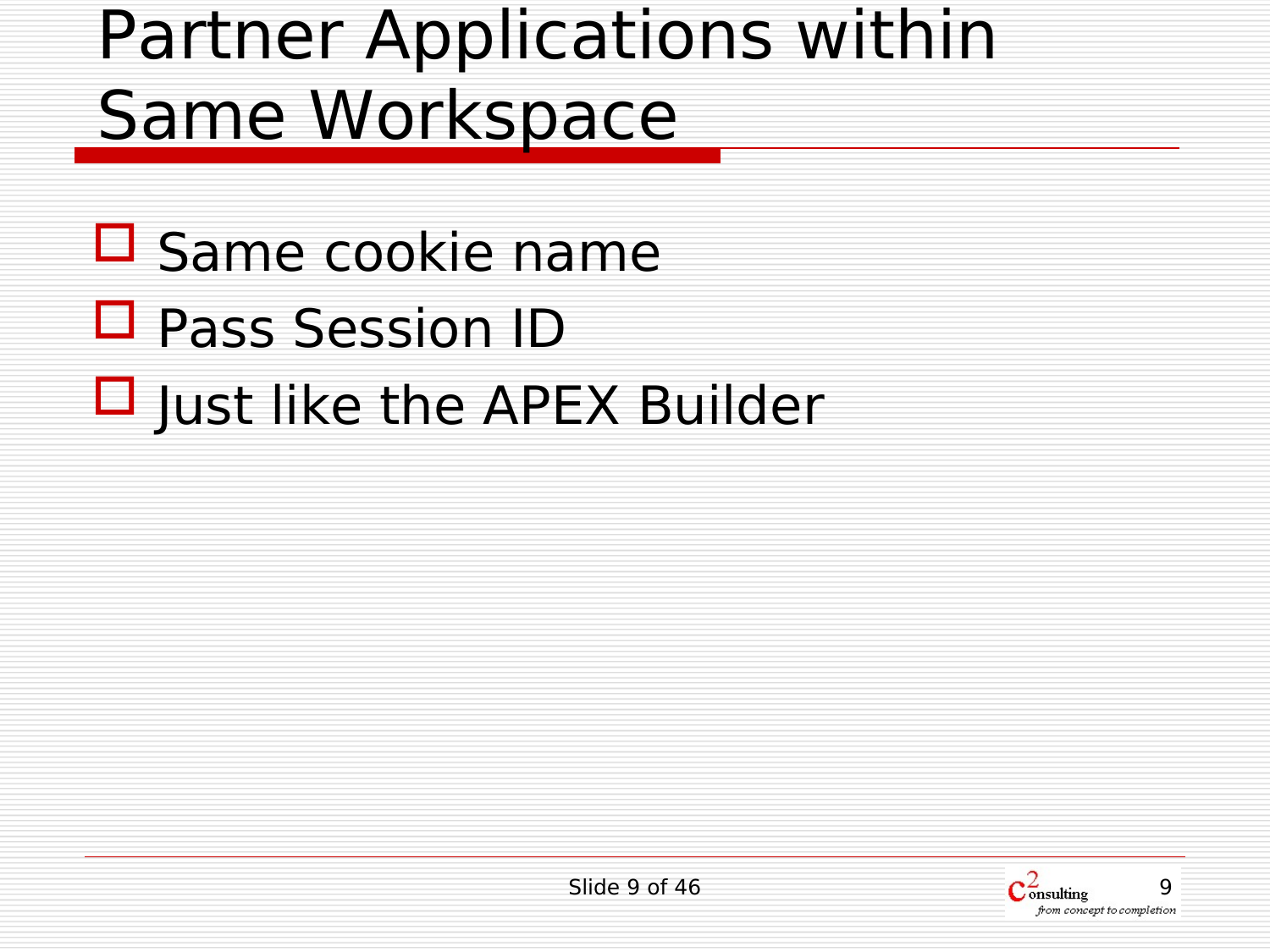### Partner Applications within Same Workspace

- $\square$  Same cookie name
- Pass Session ID
- $\Box$  Just like the APEX Builder

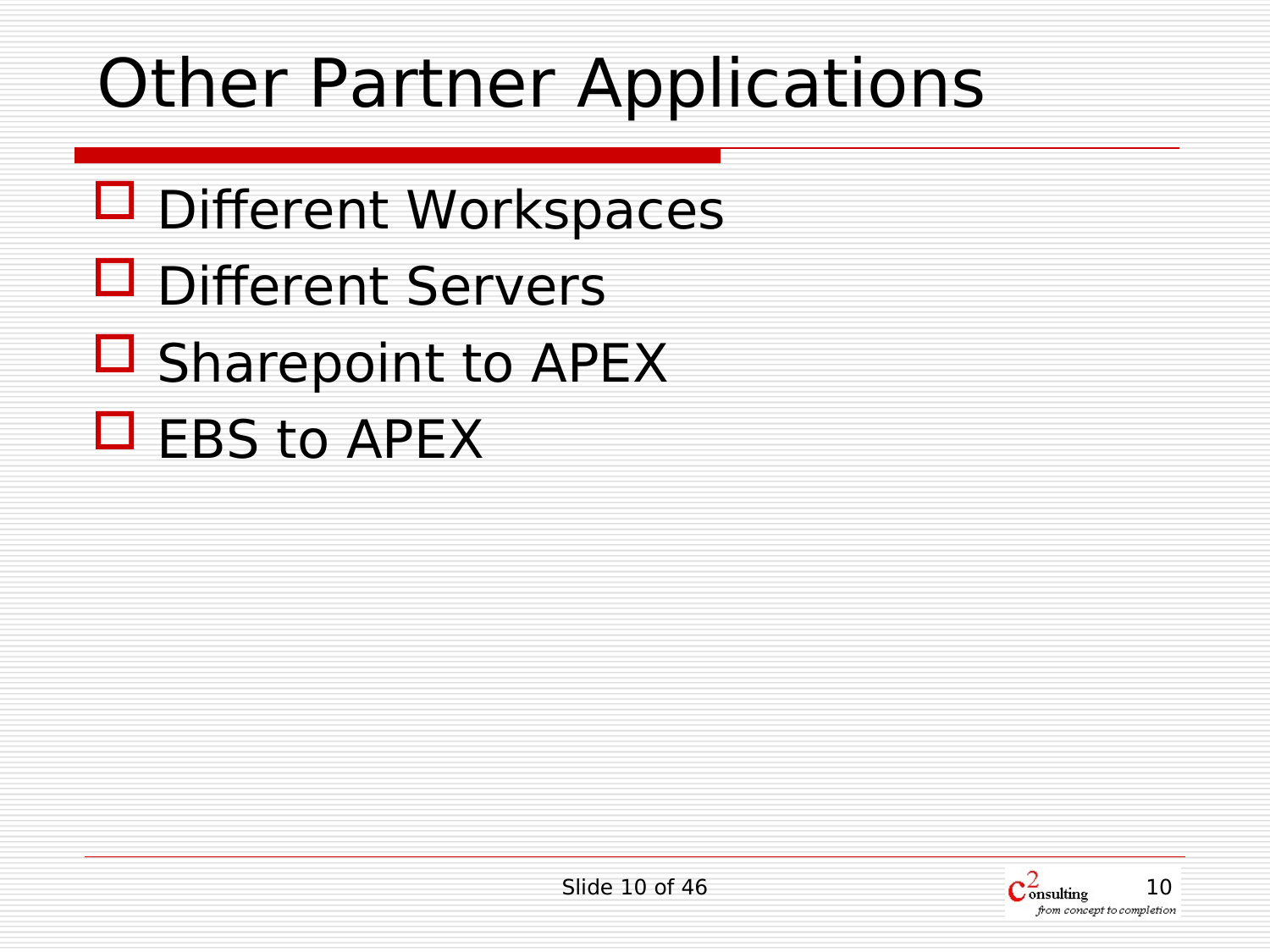### Other Partner Applications

- □ Different Workspaces
- D Different Servers
- $\Box$  Sharepoint to APEX
- $\Box$  EBS to APEX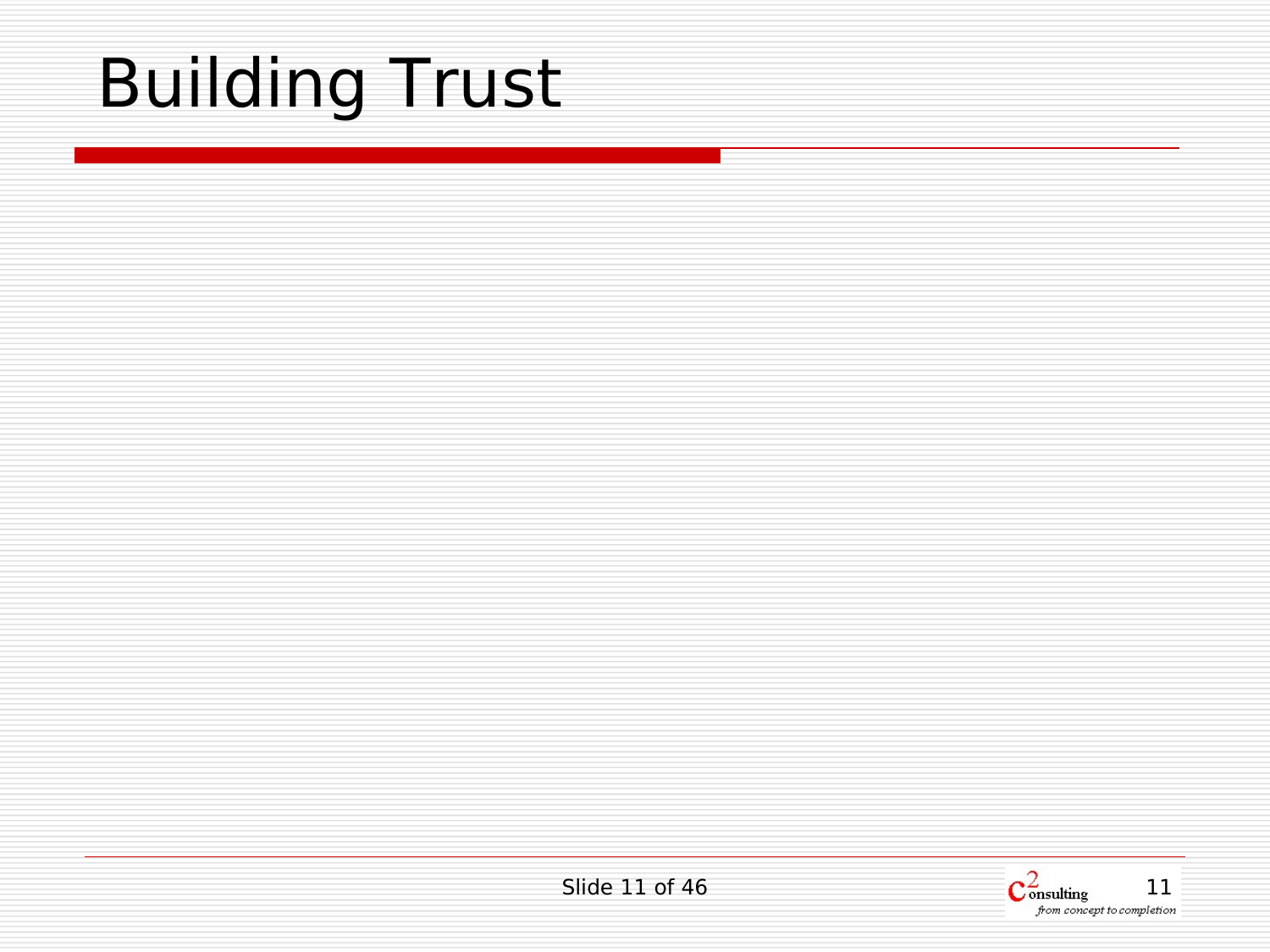# Building Trust

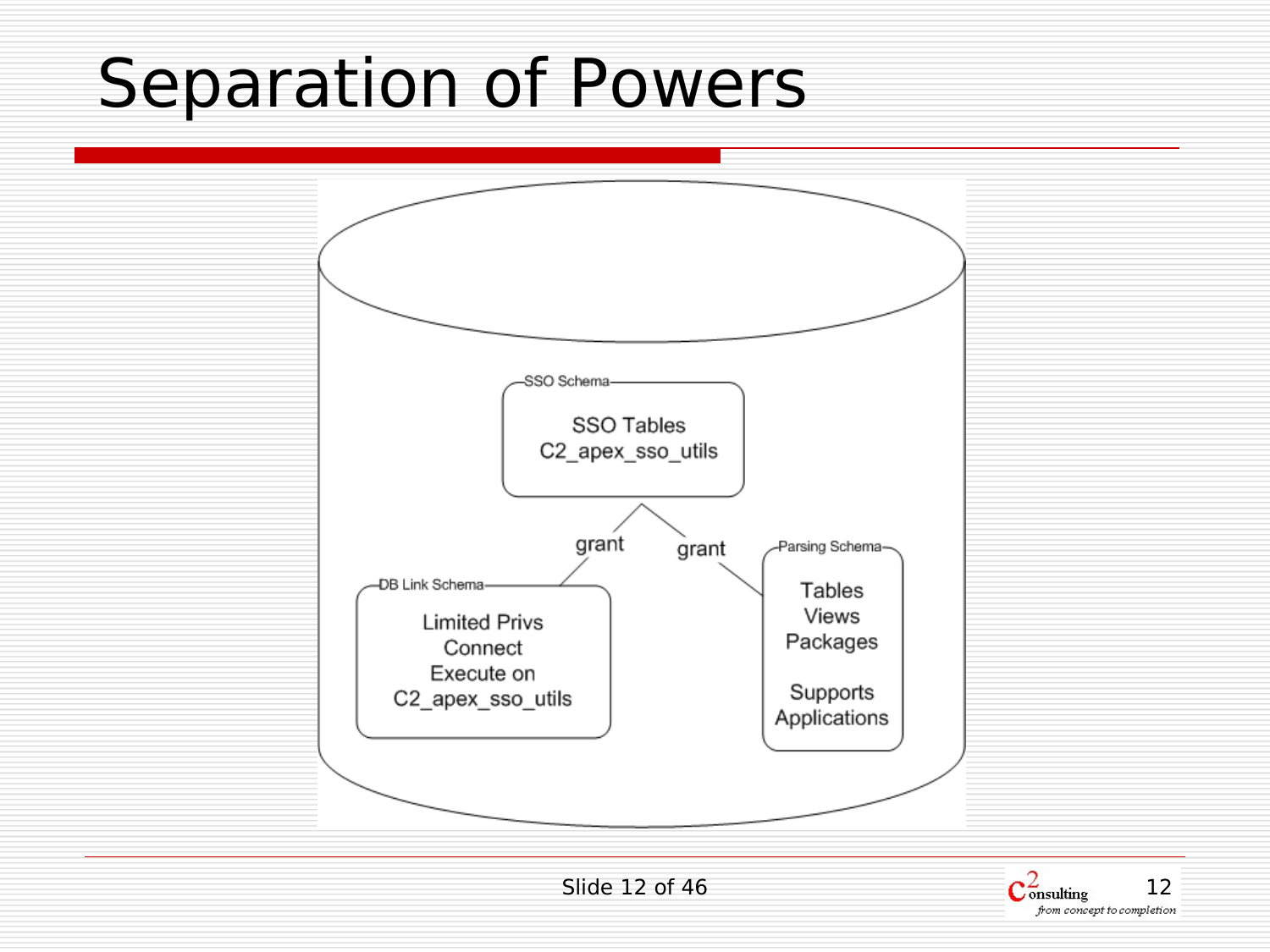### Separation of Powers



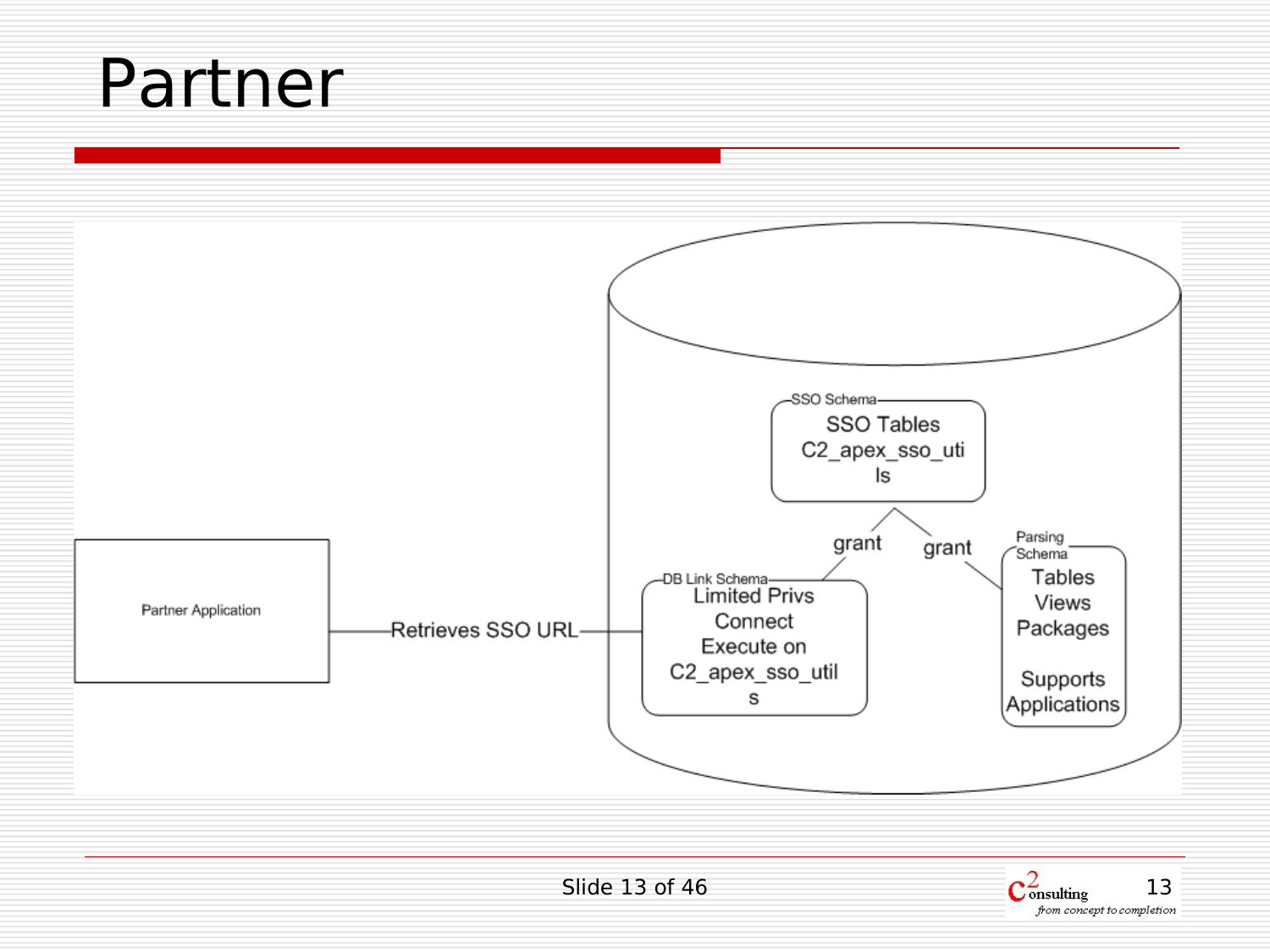#### Partner



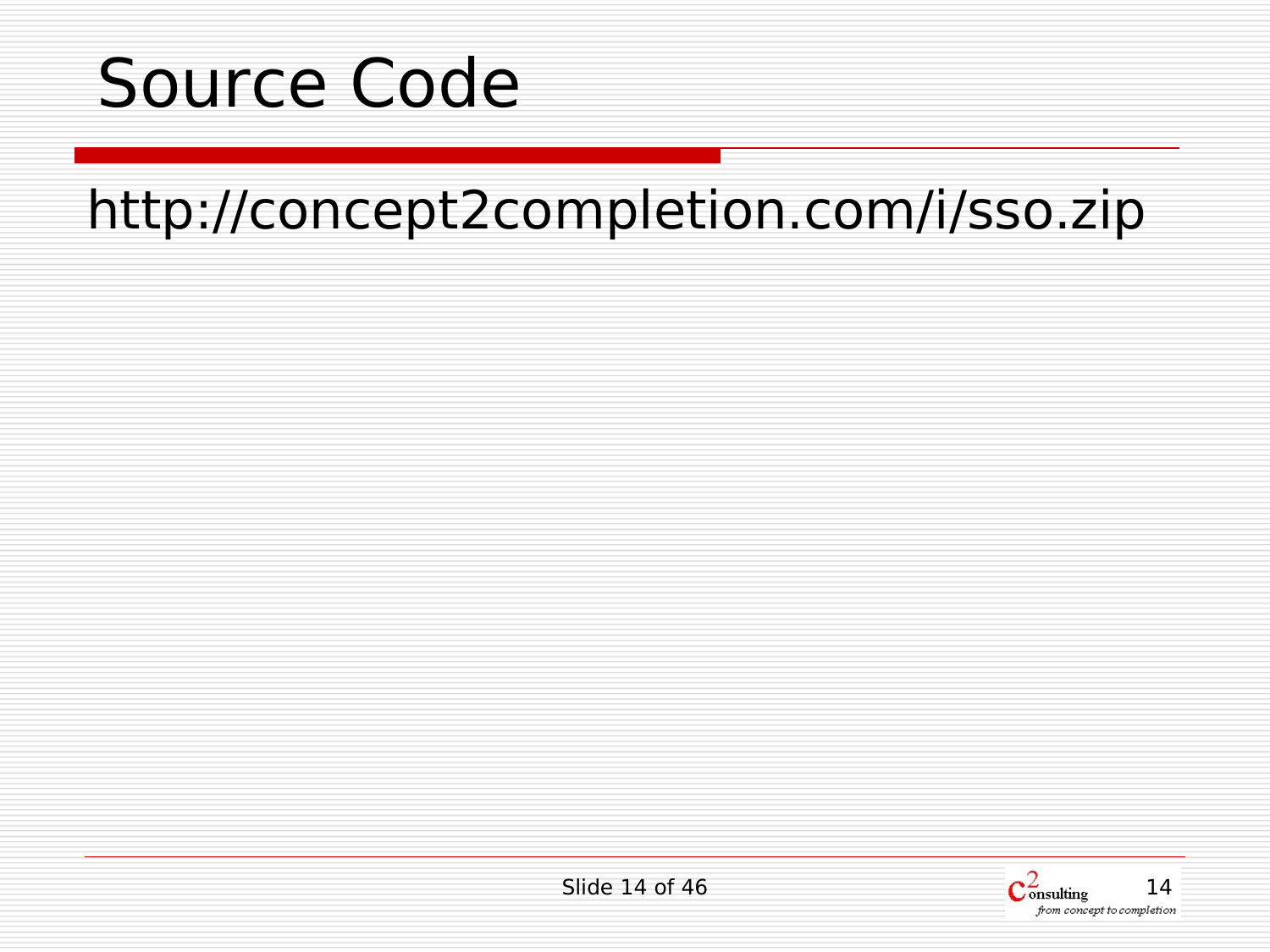

#### http://concept2completion.com/i/sso.zip